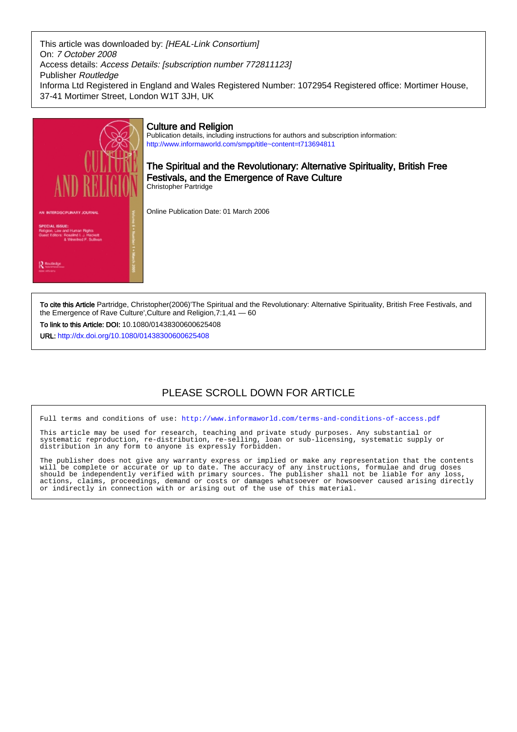This article was downloaded by: [HEAL-Link Consortium] On: 7 October 2008 Access details: Access Details: [subscription number 772811123] Publisher Routledge Informa Ltd Registered in England and Wales Registered Number: 1072954 Registered office: Mortimer House, 37-41 Mortimer Street, London W1T 3JH, UK



To cite this Article Partridge, Christopher(2006)'The Spiritual and the Revolutionary: Alternative Spirituality, British Free Festivals, and the Emergence of Rave Culture',Culture and Religion,7:1,41 — 60

To link to this Article: DOI: 10.1080/01438300600625408

URL: <http://dx.doi.org/10.1080/01438300600625408>

## PLEASE SCROLL DOWN FOR ARTICLE

Full terms and conditions of use:<http://www.informaworld.com/terms-and-conditions-of-access.pdf>

This article may be used for research, teaching and private study purposes. Any substantial or systematic reproduction, re-distribution, re-selling, loan or sub-licensing, systematic supply or distribution in any form to anyone is expressly forbidden.

The publisher does not give any warranty express or implied or make any representation that the contents will be complete or accurate or up to date. The accuracy of any instructions, formulae and drug doses should be independently verified with primary sources. The publisher shall not be liable for any loss, actions, claims, proceedings, demand or costs or damages whatsoever or howsoever caused arising directly or indirectly in connection with or arising out of the use of this material.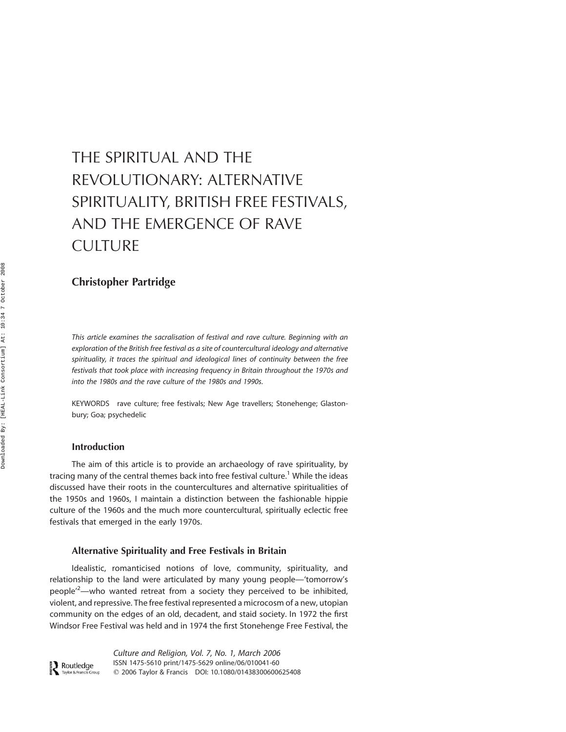# THE SPIRITUAL AND THE REVOLUTIONARY: ALTERNATIVE SPIRITUALITY, BRITISH FREE FESTIVALS, AND THE EMERGENCE OF RAVE CULTURE

## Christopher Partridge

This article examines the sacralisation of festival and rave culture. Beginning with an exploration of the British free festival as a site of countercultural ideology and alternative spirituality, it traces the spiritual and ideological lines of continuity between the free festivals that took place with increasing frequency in Britain throughout the 1970s and into the 1980s and the rave culture of the 1980s and 1990s.

KEYWORDS rave culture; free festivals; New Age travellers; Stonehenge; Glastonbury; Goa; psychedelic

## Introduction

The aim of this article is to provide an archaeology of rave spirituality, by tracing many of the central themes back into free festival culture.<sup>1</sup> While the ideas discussed have their roots in the countercultures and alternative spiritualities of the 1950s and 1960s, I maintain a distinction between the fashionable hippie culture of the 1960s and the much more countercultural, spiritually eclectic free festivals that emerged in the early 1970s.

## Alternative Spirituality and Free Festivals in Britain

Idealistic, romanticised notions of love, community, spirituality, and relationship to the land were articulated by many young people—'tomorrow's people<sup>'2</sup>—who wanted retreat from a society they perceived to be inhibited, violent, and repressive. The free festival represented a microcosm of a new, utopian community on the edges of an old, decadent, and staid society. In 1972 the first Windsor Free Festival was held and in 1974 the first Stonehenge Free Festival, the

Culture and Religion, Vol. 7, No. 1, March 2006  $\sum_{Taylor \& \text{Farahola Gro}}$ ISSN 1475-5610 print/1475-5629 online/06/010041-60 Taylor & Francis Group q 2006 Taylor & Francis DOI: 10.1080/01438300600625408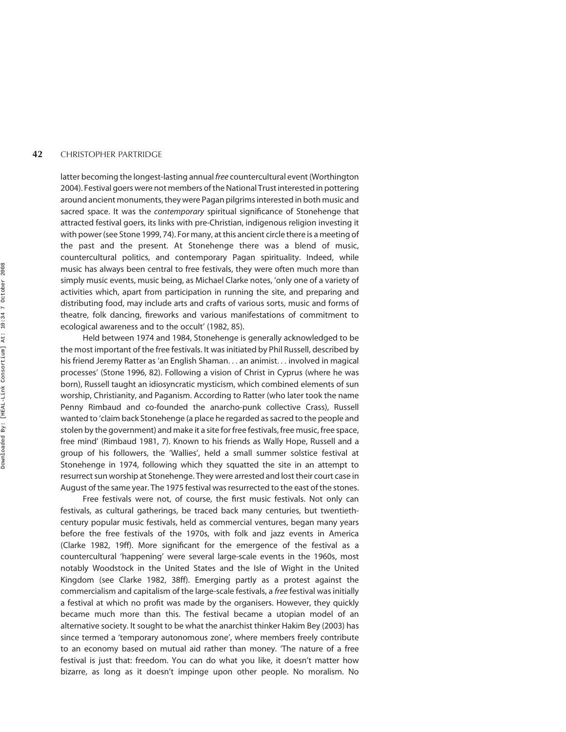latter becoming the longest-lasting annual free countercultural event (Worthington 2004). Festival goers were not members of the National Trust interested in pottering around ancient monuments, they were Pagan pilgrims interested in both music and sacred space. It was the contemporary spiritual significance of Stonehenge that attracted festival goers, its links with pre-Christian, indigenous religion investing it with power (see Stone 1999, 74). For many, at this ancient circle there is a meeting of the past and the present. At Stonehenge there was a blend of music, countercultural politics, and contemporary Pagan spirituality. Indeed, while music has always been central to free festivals, they were often much more than simply music events, music being, as Michael Clarke notes, 'only one of a variety of activities which, apart from participation in running the site, and preparing and distributing food, may include arts and crafts of various sorts, music and forms of theatre, folk dancing, fireworks and various manifestations of commitment to ecological awareness and to the occult' (1982, 85).

Held between 1974 and 1984, Stonehenge is generally acknowledged to be the most important of the free festivals. It was initiated by Phil Russell, described by his friend Jeremy Ratter as 'an English Shaman... an animist... involved in magical processes' (Stone 1996, 82). Following a vision of Christ in Cyprus (where he was born), Russell taught an idiosyncratic mysticism, which combined elements of sun worship, Christianity, and Paganism. According to Ratter (who later took the name Penny Rimbaud and co-founded the anarcho-punk collective Crass), Russell wanted to 'claim back Stonehenge (a place he regarded as sacred to the people and stolen by the government) and make it a site for free festivals, free music, free space, free mind' (Rimbaud 1981, 7). Known to his friends as Wally Hope, Russell and a group of his followers, the 'Wallies', held a small summer solstice festival at Stonehenge in 1974, following which they squatted the site in an attempt to resurrect sun worship at Stonehenge. They were arrested and lost their court case in August of the same year. The 1975 festival was resurrected to the east of the stones.

Free festivals were not, of course, the first music festivals. Not only can festivals, as cultural gatherings, be traced back many centuries, but twentiethcentury popular music festivals, held as commercial ventures, began many years before the free festivals of the 1970s, with folk and jazz events in America (Clarke 1982, 19ff). More significant for the emergence of the festival as a countercultural 'happening' were several large-scale events in the 1960s, most notably Woodstock in the United States and the Isle of Wight in the United Kingdom (see Clarke 1982, 38ff). Emerging partly as a protest against the commercialism and capitalism of the large-scale festivals, a free festival was initially a festival at which no profit was made by the organisers. However, they quickly became much more than this. The festival became a utopian model of an alternative society. It sought to be what the anarchist thinker Hakim Bey (2003) has since termed a 'temporary autonomous zone', where members freely contribute to an economy based on mutual aid rather than money. 'The nature of a free festival is just that: freedom. You can do what you like, it doesn't matter how bizarre, as long as it doesn't impinge upon other people. No moralism. No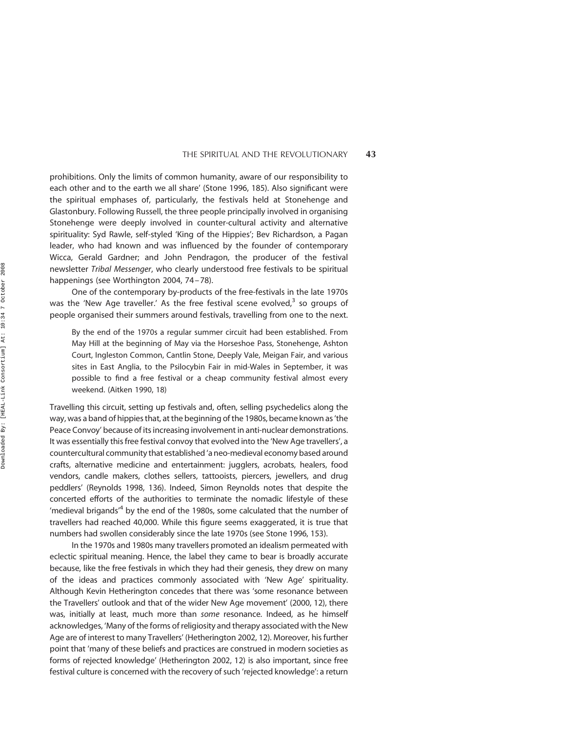prohibitions. Only the limits of common humanity, aware of our responsibility to each other and to the earth we all share' (Stone 1996, 185). Also significant were the spiritual emphases of, particularly, the festivals held at Stonehenge and Glastonbury. Following Russell, the three people principally involved in organising Stonehenge were deeply involved in counter-cultural activity and alternative spirituality: Syd Rawle, self-styled 'King of the Hippies'; Bev Richardson, a Pagan leader, who had known and was influenced by the founder of contemporary Wicca, Gerald Gardner; and John Pendragon, the producer of the festival newsletter Tribal Messenger, who clearly understood free festivals to be spiritual happenings (see Worthington 2004, 74-78).

One of the contemporary by-products of the free-festivals in the late 1970s was the 'New Age traveller.' As the free festival scene evolved, $3$  so groups of people organised their summers around festivals, travelling from one to the next.

By the end of the 1970s a regular summer circuit had been established. From May Hill at the beginning of May via the Horseshoe Pass, Stonehenge, Ashton Court, Ingleston Common, Cantlin Stone, Deeply Vale, Meigan Fair, and various sites in East Anglia, to the Psilocybin Fair in mid-Wales in September, it was possible to find a free festival or a cheap community festival almost every weekend. (Aitken 1990, 18)

Travelling this circuit, setting up festivals and, often, selling psychedelics along the way, was a band of hippies that, at the beginning of the 1980s, became known as 'the Peace Convoy' because of its increasing involvement in anti-nuclear demonstrations. It was essentially this free festival convoy that evolved into the 'New Age travellers', a countercultural community that established 'a neo-medieval economy based around crafts, alternative medicine and entertainment: jugglers, acrobats, healers, food vendors, candle makers, clothes sellers, tattooists, piercers, jewellers, and drug peddlers' (Reynolds 1998, 136). Indeed, Simon Reynolds notes that despite the concerted efforts of the authorities to terminate the nomadic lifestyle of these 'medieval brigands'4 by the end of the 1980s, some calculated that the number of travellers had reached 40,000. While this figure seems exaggerated, it is true that numbers had swollen considerably since the late 1970s (see Stone 1996, 153).

In the 1970s and 1980s many travellers promoted an idealism permeated with eclectic spiritual meaning. Hence, the label they came to bear is broadly accurate because, like the free festivals in which they had their genesis, they drew on many of the ideas and practices commonly associated with 'New Age' spirituality. Although Kevin Hetherington concedes that there was 'some resonance between the Travellers' outlook and that of the wider New Age movement' (2000, 12), there was, initially at least, much more than some resonance. Indeed, as he himself acknowledges, 'Many of the forms of religiosity and therapy associated with the New Age are of interest to many Travellers' (Hetherington 2002, 12). Moreover, his further point that 'many of these beliefs and practices are construed in modern societies as forms of rejected knowledge' (Hetherington 2002, 12) is also important, since free festival culture is concerned with the recovery of such 'rejected knowledge': a return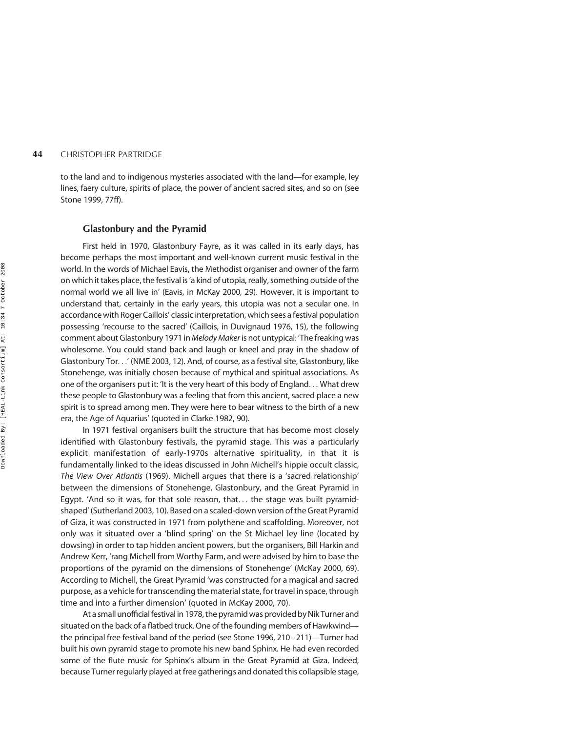to the land and to indigenous mysteries associated with the land—for example, ley lines, faery culture, spirits of place, the power of ancient sacred sites, and so on (see Stone 1999, 77ff).

## Glastonbury and the Pyramid

First held in 1970, Glastonbury Fayre, as it was called in its early days, has become perhaps the most important and well-known current music festival in the world. In the words of Michael Eavis, the Methodist organiser and owner of the farm on which it takes place, the festival is 'a kind of utopia, really, something outside of the normal world we all live in' (Eavis, in McKay 2000, 29). However, it is important to understand that, certainly in the early years, this utopia was not a secular one. In accordance with Roger Caillois' classic interpretation, which sees a festival population possessing 'recourse to the sacred' (Caillois, in Duvignaud 1976, 15), the following comment about Glastonbury 1971 in Melody Maker is not untypical: 'The freaking was wholesome. You could stand back and laugh or kneel and pray in the shadow of Glastonbury Tor...' (NME 2003, 12). And, of course, as a festival site, Glastonbury, like Stonehenge, was initially chosen because of mythical and spiritual associations. As one of the organisers put it: 'It is the very heart of this body of England... What drew these people to Glastonbury was a feeling that from this ancient, sacred place a new spirit is to spread among men. They were here to bear witness to the birth of a new era, the Age of Aquarius' (quoted in Clarke 1982, 90).

In 1971 festival organisers built the structure that has become most closely identified with Glastonbury festivals, the pyramid stage. This was a particularly explicit manifestation of early-1970s alternative spirituality, in that it is fundamentally linked to the ideas discussed in John Michell's hippie occult classic, The View Over Atlantis (1969). Michell argues that there is a 'sacred relationship' between the dimensions of Stonehenge, Glastonbury, and the Great Pyramid in Egypt. 'And so it was, for that sole reason, that... the stage was built pyramidshaped' (Sutherland 2003, 10). Based on a scaled-down version of the Great Pyramid of Giza, it was constructed in 1971 from polythene and scaffolding. Moreover, not only was it situated over a 'blind spring' on the St Michael ley line (located by dowsing) in order to tap hidden ancient powers, but the organisers, Bill Harkin and Andrew Kerr, 'rang Michell from Worthy Farm, and were advised by him to base the proportions of the pyramid on the dimensions of Stonehenge' (McKay 2000, 69). According to Michell, the Great Pyramid 'was constructed for a magical and sacred purpose, as a vehicle for transcending the material state, for travel in space, through time and into a further dimension' (quoted in McKay 2000, 70).

At a small unofficial festival in 1978, the pyramid was provided by Nik Turner and situated on the back of a flatbed truck. One of the founding members of Hawkwind the principal free festival band of the period (see Stone 1996, 210–211)—Turner had built his own pyramid stage to promote his new band Sphinx. He had even recorded some of the flute music for Sphinx's album in the Great Pyramid at Giza. Indeed, because Turner regularly played at free gatherings and donated this collapsible stage,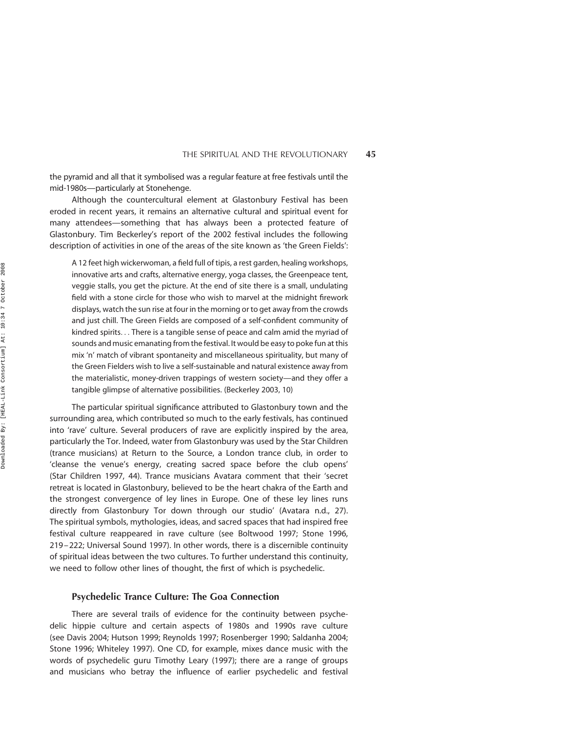the pyramid and all that it symbolised was a regular feature at free festivals until the mid-1980s—particularly at Stonehenge.

Although the countercultural element at Glastonbury Festival has been eroded in recent years, it remains an alternative cultural and spiritual event for many attendees—something that has always been a protected feature of Glastonbury. Tim Beckerley's report of the 2002 festival includes the following description of activities in one of the areas of the site known as 'the Green Fields':

A 12 feet high wickerwoman, a field full of tipis, a rest garden, healing workshops, innovative arts and crafts, alternative energy, yoga classes, the Greenpeace tent, veggie stalls, you get the picture. At the end of site there is a small, undulating field with a stone circle for those who wish to marvel at the midnight firework displays, watch the sun rise at four in the morning or to get away from the crowds and just chill. The Green Fields are composed of a self-confident community of kindred spirits... There is a tangible sense of peace and calm amid the myriad of sounds and music emanating from the festival. It would be easy to poke fun at this mix 'n' match of vibrant spontaneity and miscellaneous spirituality, but many of the Green Fielders wish to live a self-sustainable and natural existence away from the materialistic, money-driven trappings of western society—and they offer a tangible glimpse of alternative possibilities. (Beckerley 2003, 10)

The particular spiritual significance attributed to Glastonbury town and the surrounding area, which contributed so much to the early festivals, has continued into 'rave' culture. Several producers of rave are explicitly inspired by the area, particularly the Tor. Indeed, water from Glastonbury was used by the Star Children (trance musicians) at Return to the Source, a London trance club, in order to 'cleanse the venue's energy, creating sacred space before the club opens' (Star Children 1997, 44). Trance musicians Avatara comment that their 'secret retreat is located in Glastonbury, believed to be the heart chakra of the Earth and the strongest convergence of ley lines in Europe. One of these ley lines runs directly from Glastonbury Tor down through our studio' (Avatara n.d., 27). The spiritual symbols, mythologies, ideas, and sacred spaces that had inspired free festival culture reappeared in rave culture (see Boltwood 1997; Stone 1996, 219–222; Universal Sound 1997). In other words, there is a discernible continuity of spiritual ideas between the two cultures. To further understand this continuity, we need to follow other lines of thought, the first of which is psychedelic.

#### Psychedelic Trance Culture: The Goa Connection

There are several trails of evidence for the continuity between psychedelic hippie culture and certain aspects of 1980s and 1990s rave culture (see Davis 2004; Hutson 1999; Reynolds 1997; Rosenberger 1990; Saldanha 2004; Stone 1996; Whiteley 1997). One CD, for example, mixes dance music with the words of psychedelic guru Timothy Leary (1997); there are a range of groups and musicians who betray the influence of earlier psychedelic and festival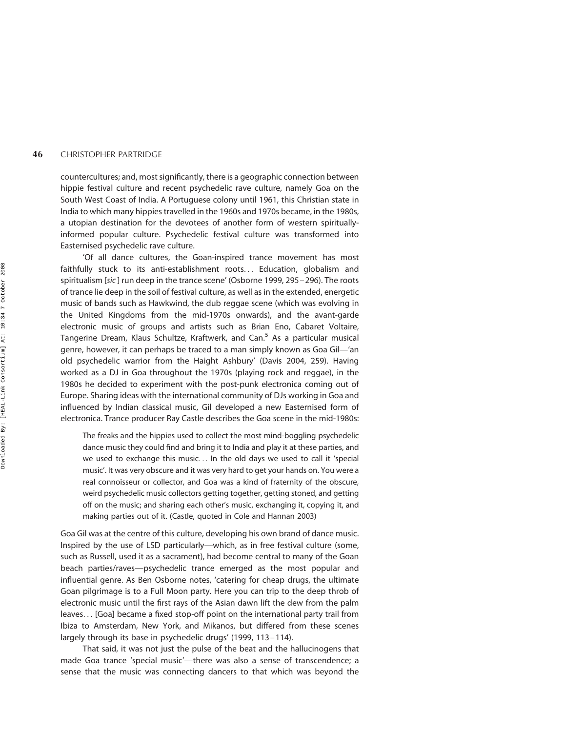countercultures; and, most significantly, there is a geographic connection between hippie festival culture and recent psychedelic rave culture, namely Goa on the South West Coast of India. A Portuguese colony until 1961, this Christian state in India to which many hippies travelled in the 1960s and 1970s became, in the 1980s, a utopian destination for the devotees of another form of western spirituallyinformed popular culture. Psychedelic festival culture was transformed into Easternised psychedelic rave culture.

'Of all dance cultures, the Goan-inspired trance movement has most faithfully stuck to its anti-establishment roots... Education, globalism and spiritualism [sic] run deep in the trance scene' (Osborne 1999, 295 – 296). The roots of trance lie deep in the soil of festival culture, as well as in the extended, energetic music of bands such as Hawkwind, the dub reggae scene (which was evolving in the United Kingdoms from the mid-1970s onwards), and the avant-garde electronic music of groups and artists such as Brian Eno, Cabaret Voltaire, Tangerine Dream, Klaus Schultze, Kraftwerk, and Can.<sup>5</sup> As a particular musical genre, however, it can perhaps be traced to a man simply known as Goa Gil—'an old psychedelic warrior from the Haight Ashbury' (Davis 2004, 259). Having worked as a DJ in Goa throughout the 1970s (playing rock and reggae), in the 1980s he decided to experiment with the post-punk electronica coming out of Europe. Sharing ideas with the international community of DJs working in Goa and influenced by Indian classical music, Gil developed a new Easternised form of electronica. Trance producer Ray Castle describes the Goa scene in the mid-1980s:

The freaks and the hippies used to collect the most mind-boggling psychedelic dance music they could find and bring it to India and play it at these parties, and we used to exchange this music... In the old days we used to call it 'special music'. It was very obscure and it was very hard to get your hands on. You were a real connoisseur or collector, and Goa was a kind of fraternity of the obscure, weird psychedelic music collectors getting together, getting stoned, and getting off on the music; and sharing each other's music, exchanging it, copying it, and making parties out of it. (Castle, quoted in Cole and Hannan 2003)

Goa Gil was at the centre of this culture, developing his own brand of dance music. Inspired by the use of LSD particularly—which, as in free festival culture (some, such as Russell, used it as a sacrament), had become central to many of the Goan beach parties/raves—psychedelic trance emerged as the most popular and influential genre. As Ben Osborne notes, 'catering for cheap drugs, the ultimate Goan pilgrimage is to a Full Moon party. Here you can trip to the deep throb of electronic music until the first rays of the Asian dawn lift the dew from the palm leaves... [Goa] became a fixed stop-off point on the international party trail from Ibiza to Amsterdam, New York, and Mikanos, but differed from these scenes largely through its base in psychedelic drugs' (1999, 113-114).

That said, it was not just the pulse of the beat and the hallucinogens that made Goa trance 'special music'—there was also a sense of transcendence; a sense that the music was connecting dancers to that which was beyond the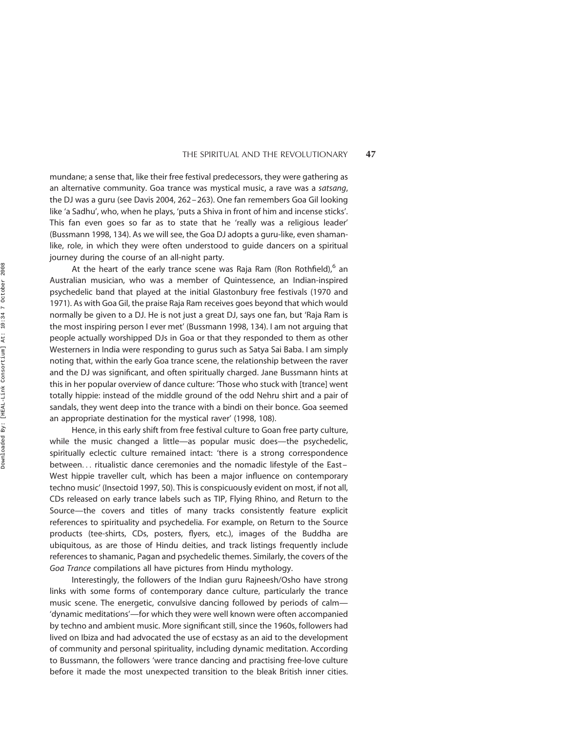mundane; a sense that, like their free festival predecessors, they were gathering as an alternative community. Goa trance was mystical music, a rave was a satsang, the DJ was a guru (see Davis 2004, 262 –263). One fan remembers Goa Gil looking like 'a Sadhu', who, when he plays, 'puts a Shiva in front of him and incense sticks'. This fan even goes so far as to state that he 'really was a religious leader' (Bussmann 1998, 134). As we will see, the Goa DJ adopts a guru-like, even shamanlike, role, in which they were often understood to guide dancers on a spiritual journey during the course of an all-night party.

At the heart of the early trance scene was Raja Ram (Ron Rothfield), $6$  an Australian musician, who was a member of Quintessence, an Indian-inspired psychedelic band that played at the initial Glastonbury free festivals (1970 and 1971). As with Goa Gil, the praise Raja Ram receives goes beyond that which would normally be given to a DJ. He is not just a great DJ, says one fan, but 'Raja Ram is the most inspiring person I ever met' (Bussmann 1998, 134). I am not arguing that people actually worshipped DJs in Goa or that they responded to them as other Westerners in India were responding to gurus such as Satya Sai Baba. I am simply noting that, within the early Goa trance scene, the relationship between the raver and the DJ was significant, and often spiritually charged. Jane Bussmann hints at this in her popular overview of dance culture: 'Those who stuck with [trance] went totally hippie: instead of the middle ground of the odd Nehru shirt and a pair of sandals, they went deep into the trance with a bindi on their bonce. Goa seemed an appropriate destination for the mystical raver' (1998, 108).

Hence, in this early shift from free festival culture to Goan free party culture, while the music changed a little—as popular music does—the psychedelic, spiritually eclectic culture remained intact: 'there is a strong correspondence between... ritualistic dance ceremonies and the nomadic lifestyle of the East– West hippie traveller cult, which has been a major influence on contemporary techno music' (Insectoid 1997, 50). This is conspicuously evident on most, if not all, CDs released on early trance labels such as TIP, Flying Rhino, and Return to the Source—the covers and titles of many tracks consistently feature explicit references to spirituality and psychedelia. For example, on Return to the Source products (tee-shirts, CDs, posters, flyers, etc.), images of the Buddha are ubiquitous, as are those of Hindu deities, and track listings frequently include references to shamanic, Pagan and psychedelic themes. Similarly, the covers of the Goa Trance compilations all have pictures from Hindu mythology.

Interestingly, the followers of the Indian guru Rajneesh/Osho have strong links with some forms of contemporary dance culture, particularly the trance music scene. The energetic, convulsive dancing followed by periods of calm— 'dynamic meditations'—for which they were well known were often accompanied by techno and ambient music. More significant still, since the 1960s, followers had lived on Ibiza and had advocated the use of ecstasy as an aid to the development of community and personal spirituality, including dynamic meditation. According to Bussmann, the followers 'were trance dancing and practising free-love culture before it made the most unexpected transition to the bleak British inner cities.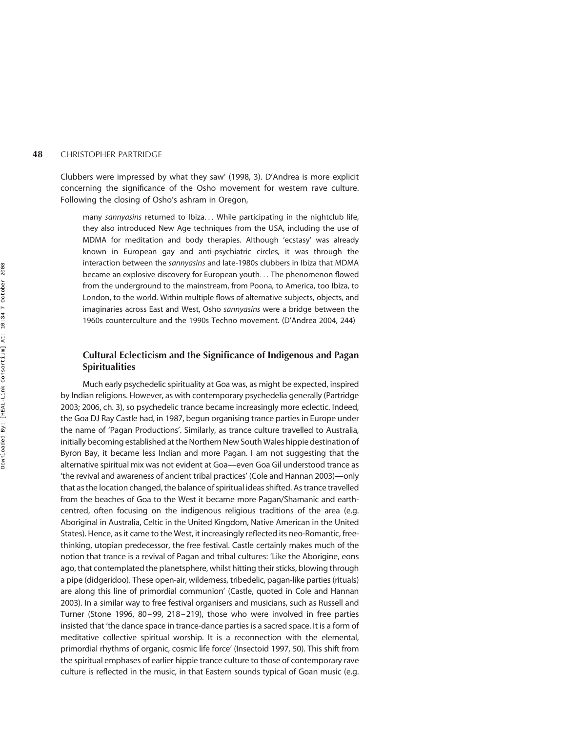Clubbers were impressed by what they saw' (1998, 3). D'Andrea is more explicit concerning the significance of the Osho movement for western rave culture. Following the closing of Osho's ashram in Oregon,

many sannyasins returned to Ibiza... While participating in the nightclub life, they also introduced New Age techniques from the USA, including the use of MDMA for meditation and body therapies. Although 'ecstasy' was already known in European gay and anti-psychiatric circles, it was through the interaction between the sannyasins and late-1980s clubbers in Ibiza that MDMA became an explosive discovery for European youth... The phenomenon flowed from the underground to the mainstream, from Poona, to America, too Ibiza, to London, to the world. Within multiple flows of alternative subjects, objects, and imaginaries across East and West, Osho sannyasins were a bridge between the 1960s counterculture and the 1990s Techno movement. (D'Andrea 2004, 244)

## Cultural Eclecticism and the Significance of Indigenous and Pagan **Spiritualities**

Much early psychedelic spirituality at Goa was, as might be expected, inspired by Indian religions. However, as with contemporary psychedelia generally (Partridge 2003; 2006, ch. 3), so psychedelic trance became increasingly more eclectic. Indeed, the Goa DJ Ray Castle had, in 1987, begun organising trance parties in Europe under the name of 'Pagan Productions'. Similarly, as trance culture travelled to Australia, initially becoming established at the Northern New South Wales hippie destination of Byron Bay, it became less Indian and more Pagan. I am not suggesting that the alternative spiritual mix was not evident at Goa—even Goa Gil understood trance as 'the revival and awareness of ancient tribal practices' (Cole and Hannan 2003)—only that as the location changed, the balance of spiritual ideas shifted. As trance travelled from the beaches of Goa to the West it became more Pagan/Shamanic and earthcentred, often focusing on the indigenous religious traditions of the area (e.g. Aboriginal in Australia, Celtic in the United Kingdom, Native American in the United States). Hence, as it came to the West, it increasingly reflected its neo-Romantic, freethinking, utopian predecessor, the free festival. Castle certainly makes much of the notion that trance is a revival of Pagan and tribal cultures: 'Like the Aborigine, eons ago, that contemplated the planetsphere, whilst hitting their sticks, blowing through a pipe (didgeridoo). These open-air, wilderness, tribedelic, pagan-like parties (rituals) are along this line of primordial communion' (Castle, quoted in Cole and Hannan 2003). In a similar way to free festival organisers and musicians, such as Russell and Turner (Stone 1996, 80–99, 218–219), those who were involved in free parties insisted that 'the dance space in trance-dance parties is a sacred space. It is a form of meditative collective spiritual worship. It is a reconnection with the elemental, primordial rhythms of organic, cosmic life force' (Insectoid 1997, 50). This shift from the spiritual emphases of earlier hippie trance culture to those of contemporary rave culture is reflected in the music, in that Eastern sounds typical of Goan music (e.g.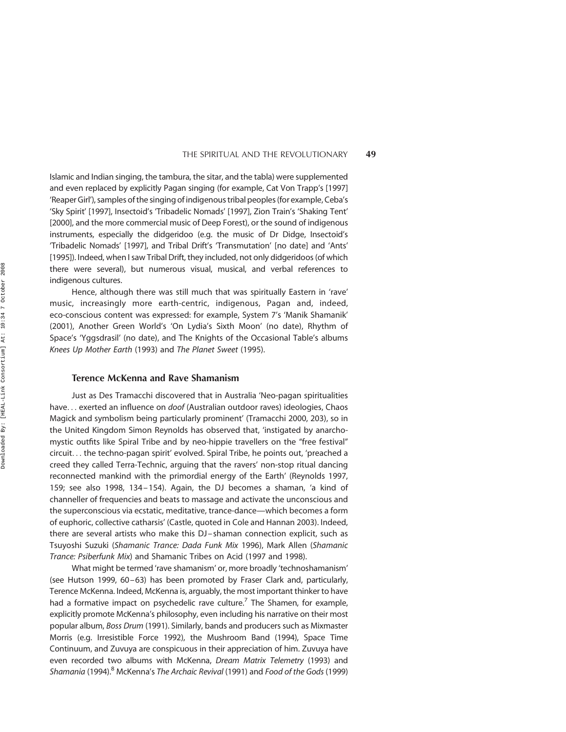Islamic and Indian singing, the tambura, the sitar, and the tabla) were supplemented and even replaced by explicitly Pagan singing (for example, Cat Von Trapp's [1997] 'Reaper Girl'), samples of the singing of indigenous tribal peoples (for example, Ceba's 'Sky Spirit' [1997], Insectoid's 'Tribadelic Nomads' [1997], Zion Train's 'Shaking Tent' [2000], and the more commercial music of Deep Forest), or the sound of indigenous instruments, especially the didgeridoo (e.g. the music of Dr Didge, Insectoid's 'Tribadelic Nomads' [1997], and Tribal Drift's 'Transmutation' [no date] and 'Ants' [1995]). Indeed, when I saw Tribal Drift, they included, not only didgeridoos (of which there were several), but numerous visual, musical, and verbal references to indigenous cultures.

Hence, although there was still much that was spiritually Eastern in 'rave' music, increasingly more earth-centric, indigenous, Pagan and, indeed, eco-conscious content was expressed: for example, System 7's 'Manik Shamanik' (2001), Another Green World's 'On Lydia's Sixth Moon' (no date), Rhythm of Space's 'Yggsdrasil' (no date), and The Knights of the Occasional Table's albums Knees Up Mother Earth (1993) and The Planet Sweet (1995).

## Terence McKenna and Rave Shamanism

Just as Des Tramacchi discovered that in Australia 'Neo-pagan spiritualities have... exerted an influence on *doof* (Australian outdoor raves) ideologies, Chaos Magick and symbolism being particularly prominent' (Tramacchi 2000, 203), so in the United Kingdom Simon Reynolds has observed that, 'instigated by anarchomystic outfits like Spiral Tribe and by neo-hippie travellers on the "free festival" circuit... the techno-pagan spirit' evolved. Spiral Tribe, he points out, 'preached a creed they called Terra-Technic, arguing that the ravers' non-stop ritual dancing reconnected mankind with the primordial energy of the Earth' (Reynolds 1997, 159; see also 1998, 134-154). Again, the DJ becomes a shaman, 'a kind of channeller of frequencies and beats to massage and activate the unconscious and the superconscious via ecstatic, meditative, trance-dance—which becomes a form of euphoric, collective catharsis' (Castle, quoted in Cole and Hannan 2003). Indeed, there are several artists who make this DJ–shaman connection explicit, such as Tsuyoshi Suzuki (Shamanic Trance: Dada Funk Mix 1996), Mark Allen (Shamanic Trance: Psiberfunk Mix) and Shamanic Tribes on Acid (1997 and 1998).

What might be termed 'rave shamanism' or, more broadly 'technoshamanism' (see Hutson 1999, 60–63) has been promoted by Fraser Clark and, particularly, Terence McKenna. Indeed, McKenna is, arguably, the most important thinker to have had a formative impact on psychedelic rave culture.<sup>7</sup> The Shamen, for example, explicitly promote McKenna's philosophy, even including his narrative on their most popular album, Boss Drum (1991). Similarly, bands and producers such as Mixmaster Morris (e.g. Irresistible Force 1992), the Mushroom Band (1994), Space Time Continuum, and Zuvuya are conspicuous in their appreciation of him. Zuvuya have even recorded two albums with McKenna, Dream Matrix Telemetry (1993) and Shamania (1994).<sup>8</sup> McKenna's The Archaic Revival (1991) and Food of the Gods (1999)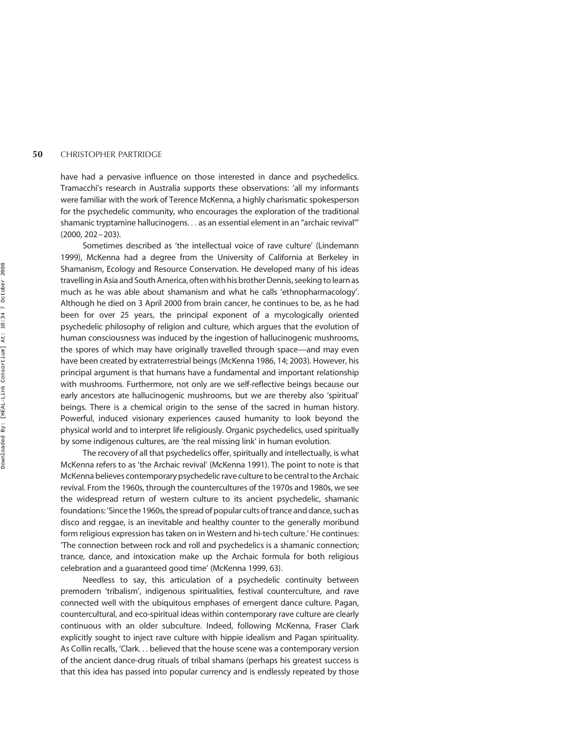have had a pervasive influence on those interested in dance and psychedelics. Tramacchi's research in Australia supports these observations: 'all my informants were familiar with the work of Terence McKenna, a highly charismatic spokesperson for the psychedelic community, who encourages the exploration of the traditional shamanic tryptamine hallucinogens... as an essential element in an "archaic revival"' (2000, 202–203).

Sometimes described as 'the intellectual voice of rave culture' (Lindemann 1999), McKenna had a degree from the University of California at Berkeley in Shamanism, Ecology and Resource Conservation. He developed many of his ideas travelling in Asia and South America, often with his brother Dennis, seeking to learn as much as he was able about shamanism and what he calls 'ethnopharmacology'. Although he died on 3 April 2000 from brain cancer, he continues to be, as he had been for over 25 years, the principal exponent of a mycologically oriented psychedelic philosophy of religion and culture, which argues that the evolution of human consciousness was induced by the ingestion of hallucinogenic mushrooms, the spores of which may have originally travelled through space—and may even have been created by extraterrestrial beings (McKenna 1986, 14; 2003). However, his principal argument is that humans have a fundamental and important relationship with mushrooms. Furthermore, not only are we self-reflective beings because our early ancestors ate hallucinogenic mushrooms, but we are thereby also 'spiritual' beings. There is a chemical origin to the sense of the sacred in human history. Powerful, induced visionary experiences caused humanity to look beyond the physical world and to interpret life religiously. Organic psychedelics, used spiritually by some indigenous cultures, are 'the real missing link' in human evolution.

The recovery of all that psychedelics offer, spiritually and intellectually, is what McKenna refers to as 'the Archaic revival' (McKenna 1991). The point to note is that McKenna believes contemporary psychedelic rave culture to be central to the Archaic revival. From the 1960s, through the countercultures of the 1970s and 1980s, we see the widespread return of western culture to its ancient psychedelic, shamanic foundations: 'Since the 1960s, the spread of popular cults of trance and dance, such as disco and reggae, is an inevitable and healthy counter to the generally moribund form religious expression has taken on in Western and hi-tech culture.' He continues: 'The connection between rock and roll and psychedelics is a shamanic connection; trance, dance, and intoxication make up the Archaic formula for both religious celebration and a guaranteed good time' (McKenna 1999, 63).

Needless to say, this articulation of a psychedelic continuity between premodern 'tribalism', indigenous spiritualities, festival counterculture, and rave connected well with the ubiquitous emphases of emergent dance culture. Pagan, countercultural, and eco-spiritual ideas within contemporary rave culture are clearly continuous with an older subculture. Indeed, following McKenna, Fraser Clark explicitly sought to inject rave culture with hippie idealism and Pagan spirituality. As Collin recalls, 'Clark... believed that the house scene was a contemporary version of the ancient dance-drug rituals of tribal shamans (perhaps his greatest success is that this idea has passed into popular currency and is endlessly repeated by those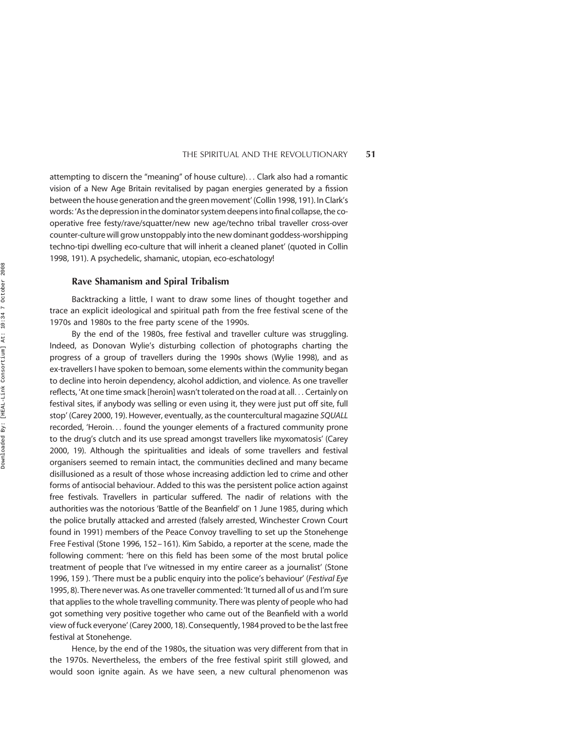attempting to discern the "meaning" of house culture)... Clark also had a romantic vision of a New Age Britain revitalised by pagan energies generated by a fission between the house generation and the green movement' (Collin 1998, 191). In Clark's words: 'As the depression in the dominator system deepens into final collapse, the cooperative free festy/rave/squatter/new new age/techno tribal traveller cross-over counter-culture will grow unstoppably into the new dominant goddess-worshipping techno-tipi dwelling eco-culture that will inherit a cleaned planet' (quoted in Collin 1998, 191). A psychedelic, shamanic, utopian, eco-eschatology!

## Rave Shamanism and Spiral Tribalism

Backtracking a little, I want to draw some lines of thought together and trace an explicit ideological and spiritual path from the free festival scene of the 1970s and 1980s to the free party scene of the 1990s.

By the end of the 1980s, free festival and traveller culture was struggling. Indeed, as Donovan Wylie's disturbing collection of photographs charting the progress of a group of travellers during the 1990s shows (Wylie 1998), and as ex-travellers I have spoken to bemoan, some elements within the community began to decline into heroin dependency, alcohol addiction, and violence. As one traveller reflects, 'At one time smack [heroin] wasn't tolerated on the road at all... Certainly on festival sites, if anybody was selling or even using it, they were just put off site, full stop' (Carey 2000, 19). However, eventually, as the countercultural magazine SQUALL recorded, 'Heroin... found the younger elements of a fractured community prone to the drug's clutch and its use spread amongst travellers like myxomatosis' (Carey 2000, 19). Although the spiritualities and ideals of some travellers and festival organisers seemed to remain intact, the communities declined and many became disillusioned as a result of those whose increasing addiction led to crime and other forms of antisocial behaviour. Added to this was the persistent police action against free festivals. Travellers in particular suffered. The nadir of relations with the authorities was the notorious 'Battle of the Beanfield' on 1 June 1985, during which the police brutally attacked and arrested (falsely arrested, Winchester Crown Court found in 1991) members of the Peace Convoy travelling to set up the Stonehenge Free Festival (Stone 1996, 152–161). Kim Sabido, a reporter at the scene, made the following comment: 'here on this field has been some of the most brutal police treatment of people that I've witnessed in my entire career as a journalist' (Stone 1996, 159 ). 'There must be a public enquiry into the police's behaviour' (Festival Eye 1995, 8). There never was. As one traveller commented: 'It turned all of us and I'm sure that applies to the whole travelling community. There was plenty of people who had got something very positive together who came out of the Beanfield with a world view of fuck everyone' (Carey 2000, 18). Consequently, 1984 proved to be the last free festival at Stonehenge.

Hence, by the end of the 1980s, the situation was very different from that in the 1970s. Nevertheless, the embers of the free festival spirit still glowed, and would soon ignite again. As we have seen, a new cultural phenomenon was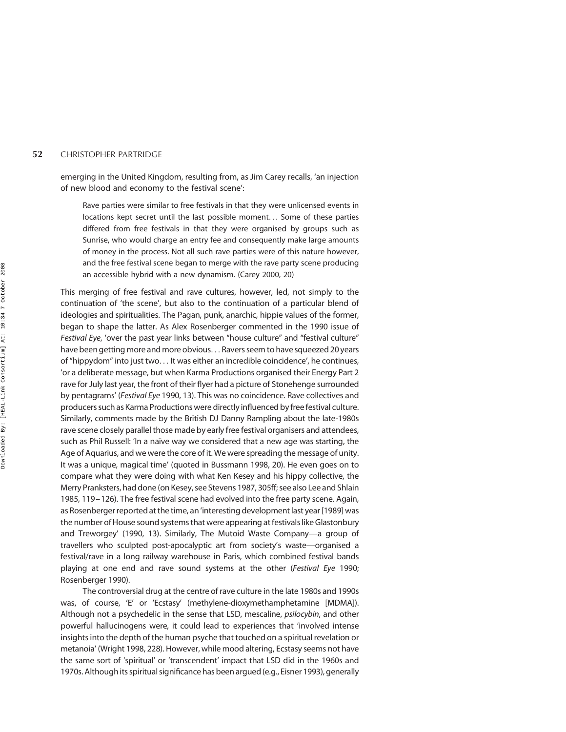emerging in the United Kingdom, resulting from, as Jim Carey recalls, 'an injection of new blood and economy to the festival scene':

Rave parties were similar to free festivals in that they were unlicensed events in locations kept secret until the last possible moment... Some of these parties differed from free festivals in that they were organised by groups such as Sunrise, who would charge an entry fee and consequently make large amounts of money in the process. Not all such rave parties were of this nature however, and the free festival scene began to merge with the rave party scene producing an accessible hybrid with a new dynamism. (Carey 2000, 20)

This merging of free festival and rave cultures, however, led, not simply to the continuation of 'the scene', but also to the continuation of a particular blend of ideologies and spiritualities. The Pagan, punk, anarchic, hippie values of the former, began to shape the latter. As Alex Rosenberger commented in the 1990 issue of Festival Eye, 'over the past year links between "house culture" and "festival culture" have been getting more and more obvious... Ravers seem to have squeezed 20 years of "hippydom" into just two... It was either an incredible coincidence', he continues, 'or a deliberate message, but when Karma Productions organised their Energy Part 2 rave for July last year, the front of their flyer had a picture of Stonehenge surrounded by pentagrams' (Festival Eye 1990, 13). This was no coincidence. Rave collectives and producers such as Karma Productions were directly influenced by free festival culture. Similarly, comments made by the British DJ Danny Rampling about the late-1980s rave scene closely parallel those made by early free festival organisers and attendees, such as Phil Russell: 'In a naïve way we considered that a new age was starting, the Age of Aquarius, and we were the core of it. We were spreading the message of unity. It was a unique, magical time' (quoted in Bussmann 1998, 20). He even goes on to compare what they were doing with what Ken Kesey and his hippy collective, the Merry Pranksters, had done (on Kesey, see Stevens 1987, 305ff; see also Lee and Shlain 1985, 119–126). The free festival scene had evolved into the free party scene. Again, as Rosenberger reported at the time, an 'interesting development last year [1989] was the number of House sound systems that were appearing at festivals like Glastonbury and Treworgey' (1990, 13). Similarly, The Mutoid Waste Company—a group of travellers who sculpted post-apocalyptic art from society's waste—organised a festival/rave in a long railway warehouse in Paris, which combined festival bands playing at one end and rave sound systems at the other (Festival Eye 1990; Rosenberger 1990).

The controversial drug at the centre of rave culture in the late 1980s and 1990s was, of course, 'E' or 'Ecstasy' (methylene-dioxymethamphetamine [MDMA]). Although not a psychedelic in the sense that LSD, mescaline, psilocybin, and other powerful hallucinogens were, it could lead to experiences that 'involved intense insights into the depth of the human psyche that touched on a spiritual revelation or metanoia' (Wright 1998, 228). However, while mood altering, Ecstasy seems not have the same sort of 'spiritual' or 'transcendent' impact that LSD did in the 1960s and 1970s. Although its spiritual significance has been argued (e.g., Eisner 1993), generally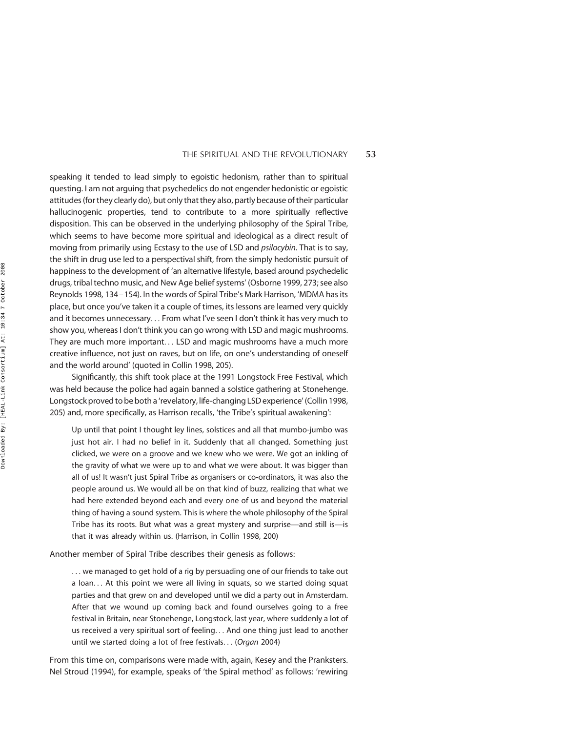speaking it tended to lead simply to egoistic hedonism, rather than to spiritual questing. I am not arguing that psychedelics do not engender hedonistic or egoistic attitudes (for they clearly do), but only that they also, partly because of their particular hallucinogenic properties, tend to contribute to a more spiritually reflective disposition. This can be observed in the underlying philosophy of the Spiral Tribe, which seems to have become more spiritual and ideological as a direct result of moving from primarily using Ecstasy to the use of LSD and psilocybin. That is to say, the shift in drug use led to a perspectival shift, from the simply hedonistic pursuit of happiness to the development of 'an alternative lifestyle, based around psychedelic drugs, tribal techno music, and New Age belief systems' (Osborne 1999, 273; see also Reynolds 1998, 134–154). In the words of Spiral Tribe's Mark Harrison, 'MDMA has its place, but once you've taken it a couple of times, its lessons are learned very quickly and it becomes unnecessary... From what I've seen I don't think it has very much to show you, whereas I don't think you can go wrong with LSD and magic mushrooms. They are much more important... LSD and magic mushrooms have a much more creative influence, not just on raves, but on life, on one's understanding of oneself and the world around' (quoted in Collin 1998, 205).

Significantly, this shift took place at the 1991 Longstock Free Festival, which was held because the police had again banned a solstice gathering at Stonehenge. Longstock proved to be both a 'revelatory, life-changing LSD experience' (Collin 1998, 205) and, more specifically, as Harrison recalls, 'the Tribe's spiritual awakening':

Up until that point I thought ley lines, solstices and all that mumbo-jumbo was just hot air. I had no belief in it. Suddenly that all changed. Something just clicked, we were on a groove and we knew who we were. We got an inkling of the gravity of what we were up to and what we were about. It was bigger than all of us! It wasn't just Spiral Tribe as organisers or co-ordinators, it was also the people around us. We would all be on that kind of buzz, realizing that what we had here extended beyond each and every one of us and beyond the material thing of having a sound system. This is where the whole philosophy of the Spiral Tribe has its roots. But what was a great mystery and surprise—and still is—is that it was already within us. (Harrison, in Collin 1998, 200)

Another member of Spiral Tribe describes their genesis as follows:

... we managed to get hold of a rig by persuading one of our friends to take out a loan... At this point we were all living in squats, so we started doing squat parties and that grew on and developed until we did a party out in Amsterdam. After that we wound up coming back and found ourselves going to a free festival in Britain, near Stonehenge, Longstock, last year, where suddenly a lot of us received a very spiritual sort of feeling... And one thing just lead to another until we started doing a lot of free festivals... (Organ 2004)

From this time on, comparisons were made with, again, Kesey and the Pranksters. Nel Stroud (1994), for example, speaks of 'the Spiral method' as follows: 'rewiring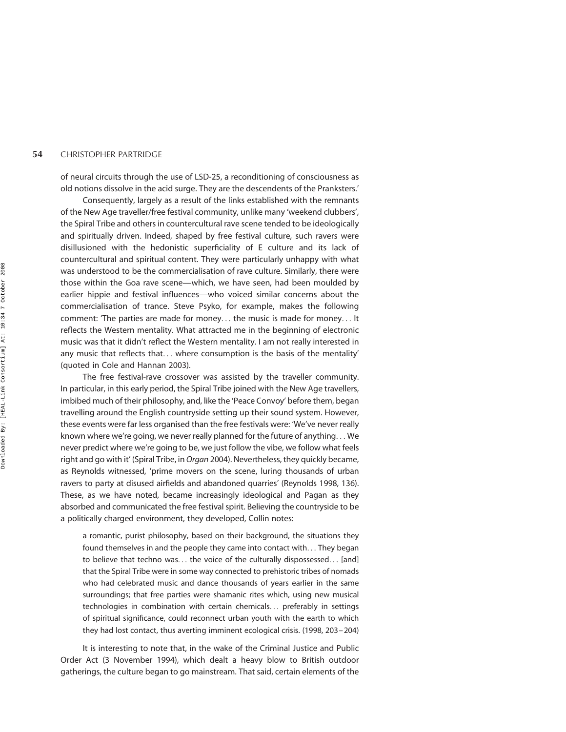of neural circuits through the use of LSD-25, a reconditioning of consciousness as old notions dissolve in the acid surge. They are the descendents of the Pranksters.'

Consequently, largely as a result of the links established with the remnants of the New Age traveller/free festival community, unlike many 'weekend clubbers', the Spiral Tribe and others in countercultural rave scene tended to be ideologically and spiritually driven. Indeed, shaped by free festival culture, such ravers were disillusioned with the hedonistic superficiality of E culture and its lack of countercultural and spiritual content. They were particularly unhappy with what was understood to be the commercialisation of rave culture. Similarly, there were those within the Goa rave scene—which, we have seen, had been moulded by earlier hippie and festival influences—who voiced similar concerns about the commercialisation of trance. Steve Psyko, for example, makes the following comment: 'The parties are made for money... the music is made for money... It reflects the Western mentality. What attracted me in the beginning of electronic music was that it didn't reflect the Western mentality. I am not really interested in any music that reflects that... where consumption is the basis of the mentality' (quoted in Cole and Hannan 2003).

The free festival-rave crossover was assisted by the traveller community. In particular, in this early period, the Spiral Tribe joined with the New Age travellers, imbibed much of their philosophy, and, like the 'Peace Convoy' before them, began travelling around the English countryside setting up their sound system. However, these events were far less organised than the free festivals were: 'We've never really known where we're going, we never really planned for the future of anything... We never predict where we're going to be, we just follow the vibe, we follow what feels right and go with it' (Spiral Tribe, in Organ 2004). Nevertheless, they quickly became, as Reynolds witnessed, 'prime movers on the scene, luring thousands of urban ravers to party at disused airfields and abandoned quarries' (Reynolds 1998, 136). These, as we have noted, became increasingly ideological and Pagan as they absorbed and communicated the free festival spirit. Believing the countryside to be a politically charged environment, they developed, Collin notes:

a romantic, purist philosophy, based on their background, the situations they found themselves in and the people they came into contact with... They began to believe that techno was... the voice of the culturally dispossessed... [and] that the Spiral Tribe were in some way connected to prehistoric tribes of nomads who had celebrated music and dance thousands of years earlier in the same surroundings; that free parties were shamanic rites which, using new musical technologies in combination with certain chemicals... preferably in settings of spiritual significance, could reconnect urban youth with the earth to which they had lost contact, thus averting imminent ecological crisis. (1998, 203–204)

It is interesting to note that, in the wake of the Criminal Justice and Public Order Act (3 November 1994), which dealt a heavy blow to British outdoor gatherings, the culture began to go mainstream. That said, certain elements of the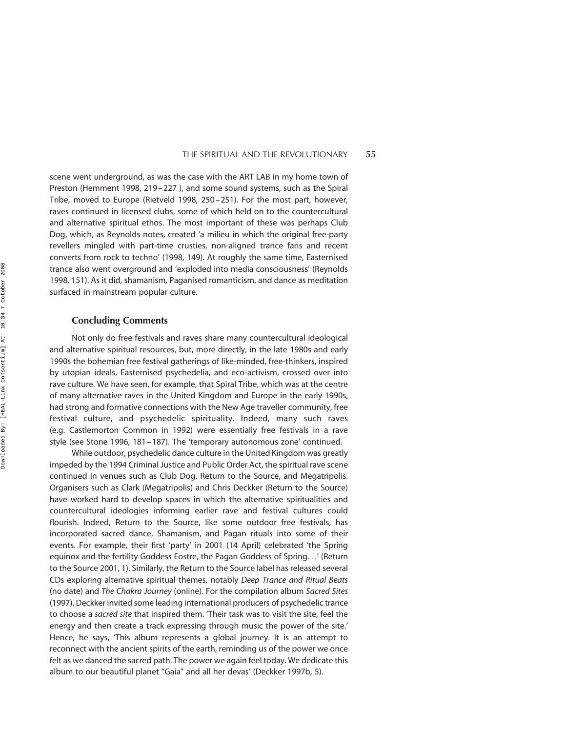scene went underground, as was the case with the ART LAB in my home town of Preston (Hemment 1998, 219–227 ), and some sound systems, such as the Spiral Tribe, moved to Europe (Rietveld 1998, 250 –251). For the most part, however, raves continued in licensed clubs, some of which held on to the countercultural and alternative spiritual ethos. The most important of these was perhaps Club Dog, which, as Reynolds notes, created 'a milieu in which the original free-party revellers mingled with part-time crusties, non-aligned trance fans and recent converts from rock to techno' (1998, 149). At roughly the same time, Easternised trance also went overground and 'exploded into media consciousness' (Reynolds 1998, 151). As it did, shamanism, Paganised romanticism, and dance as meditation surfaced in mainstream popular culture.

## Concluding Comments

Not only do free festivals and raves share many countercultural ideological and alternative spiritual resources, but, more directly, in the late 1980s and early 1990s the bohemian free festival gatherings of like-minded, free-thinkers, inspired by utopian ideals, Easternised psychedelia, and eco-activism, crossed over into rave culture. We have seen, for example, that Spiral Tribe, which was at the centre of many alternative raves in the United Kingdom and Europe in the early 1990s, had strong and formative connections with the New Age traveller community, free festival culture, and psychedelic spirituality. Indeed, many such raves (e.g. Castlemorton Common in 1992) were essentially free festivals in a rave style (see Stone 1996, 181–187). The 'temporary autonomous zone' continued.

While outdoor, psychedelic dance culture in the United Kingdom was greatly impeded by the 1994 Criminal Justice and Public Order Act, the spiritual rave scene continued in venues such as Club Dog, Return to the Source, and Megatripolis. Organisers such as Clark (Megatripolis) and Chris Deckker (Return to the Source) have worked hard to develop spaces in which the alternative spiritualities and countercultural ideologies informing earlier rave and festival cultures could flourish. Indeed, Return to the Source, like some outdoor free festivals, has incorporated sacred dance, Shamanism, and Pagan rituals into some of their events. For example, their first 'party' in 2001 (14 April) celebrated 'the Spring equinox and the fertility Goddess Eostre, the Pagan Goddess of Spring...' (Return to the Source 2001, 1). Similarly, the Return to the Source label has released several CDs exploring alternative spiritual themes, notably Deep Trance and Ritual Beats (no date) and The Chakra Journey (online). For the compilation album Sacred Sites (1997), Deckker invited some leading international producers of psychedelic trance to choose a sacred site that inspired them. 'Their task was to visit the site, feel the energy and then create a track expressing through music the power of the site.' Hence, he says, 'This album represents a global journey. It is an attempt to reconnect with the ancient spirits of the earth, reminding us of the power we once felt as we danced the sacred path. The power we again feel today. We dedicate this album to our beautiful planet "Gaia" and all her devas' (Deckker 1997b, 5).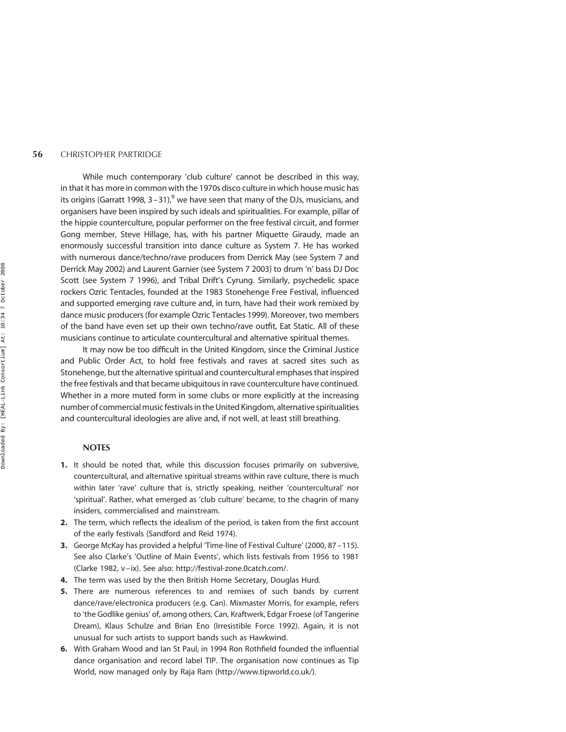While much contemporary 'club culture' cannot be described in this way, in that it has more in common with the 1970s disco culture in which house music has its origins (Garratt 1998,  $3-31$ ),<sup>9</sup> we have seen that many of the DJs, musicians, and organisers have been inspired by such ideals and spiritualities. For example, pillar of the hippie counterculture, popular performer on the free festival circuit, and former Gong member, Steve Hillage, has, with his partner Miquette Giraudy, made an enormously successful transition into dance culture as System 7. He has worked with numerous dance/techno/rave producers from Derrick May (see System 7 and Derrick May 2002) and Laurent Garnier (see System 7 2003) to drum 'n' bass DJ Doc Scott (see System 7 1996), and Tribal Drift's Cyrung. Similarly, psychedelic space rockers Ozric Tentacles, founded at the 1983 Stonehenge Free Festival, influenced and supported emerging rave culture and, in turn, have had their work remixed by dance music producers (for example Ozric Tentacles 1999). Moreover, two members of the band have even set up their own techno/rave outfit, Eat Static. All of these musicians continue to articulate countercultural and alternative spiritual themes.

It may now be too difficult in the United Kingdom, since the Criminal Justice and Public Order Act, to hold free festivals and raves at sacred sites such as Stonehenge, but the alternative spiritual and countercultural emphases that inspired the free festivals and that became ubiquitous in rave counterculture have continued. Whether in a more muted form in some clubs or more explicitly at the increasing number of commercial music festivals in the United Kingdom, alternative spiritualities and countercultural ideologies are alive and, if not well, at least still breathing.

## **NOTES**

- 1. It should be noted that, while this discussion focuses primarily on subversive, countercultural, and alternative spiritual streams within rave culture, there is much within later 'rave' culture that is, strictly speaking, neither 'countercultural' nor 'spiritual'. Rather, what emerged as 'club culture' became, to the chagrin of many insiders, commercialised and mainstream.
- 2. The term, which reflects the idealism of the period, is taken from the first account of the early festivals (Sandford and Reid 1974).
- 3. George McKay has provided a helpful 'Time-line of Festival Culture' (2000, 87 –115). See also Clarke's 'Outline of Main Events', which lists festivals from 1956 to 1981 (Clarke 1982, v–ix). See also: http://festival-zone.0catch.com/.
- 4. The term was used by the then British Home Secretary, Douglas Hurd.
- 5. There are numerous references to and remixes of such bands by current dance/rave/electronica producers (e.g. Can). Mixmaster Morris, for example, refers to 'the Godlike genius' of, among others, Can, Kraftwerk, Edgar Froese (of Tangerine Dream), Klaus Schulze and Brian Eno (Irresistible Force 1992). Again, it is not unusual for such artists to support bands such as Hawkwind.
- 6. With Graham Wood and Ian St Paul, in 1994 Ron Rothfield founded the influential dance organisation and record label TIP. The organisation now continues as Tip World, now managed only by Raja Ram (http://www.tipworld.co.uk/).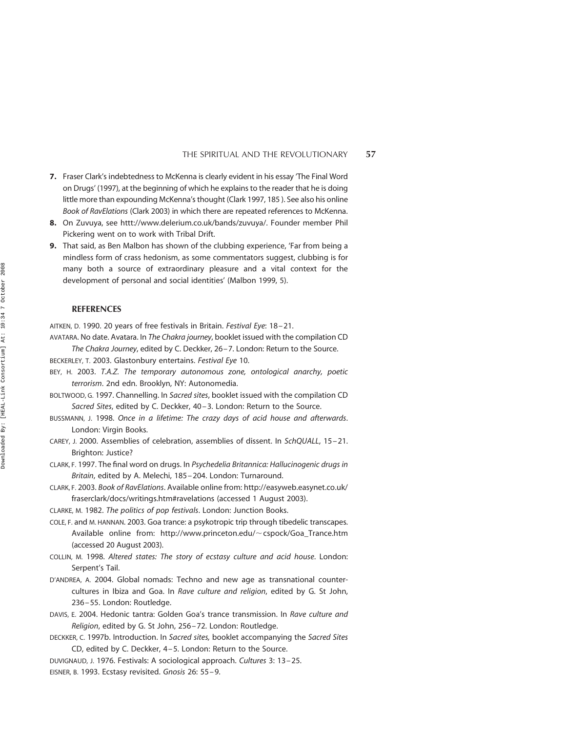- 7. Fraser Clark's indebtedness to McKenna is clearly evident in his essay 'The Final Word on Drugs' (1997), at the beginning of which he explains to the reader that he is doing little more than expounding McKenna's thought (Clark 1997, 185 ). See also his online Book of RavElations (Clark 2003) in which there are repeated references to McKenna.
- 8. On Zuvuya, see httt://www.delerium.co.uk/bands/zuvuya/. Founder member Phil Pickering went on to work with Tribal Drift.
- 9. That said, as Ben Malbon has shown of the clubbing experience, 'Far from being a mindless form of crass hedonism, as some commentators suggest, clubbing is for many both a source of extraordinary pleasure and a vital context for the development of personal and social identities' (Malbon 1999, 5).

## REFERENCES

AITKEN, D. 1990. 20 years of free festivals in Britain. Festival Eye: 18–21.

- AVATARA. No date. Avatara. In The Chakra journey, booklet issued with the compilation CD The Chakra Journey, edited by C. Deckker, 26–7. London: Return to the Source.
- BECKERLEY, T. 2003. Glastonbury entertains. Festival Eye 10.
- BEY, H. 2003. T.A.Z. The temporary autonomous zone, ontological anarchy, poetic terrorism. 2nd edn. Brooklyn, NY: Autonomedia.
- BOLTWOOD, G. 1997. Channelling. In Sacred sites, booklet issued with the compilation CD Sacred Sites, edited by C. Deckker, 40–3. London: Return to the Source.
- BUSSMANN, J. 1998. Once in a lifetime: The crazy days of acid house and afterwards. London: Virgin Books.
- CAREY, J. 2000. Assemblies of celebration, assemblies of dissent. In SchQUALL, 15–21. Brighton: Justice?
- CLARK, F. 1997. The final word on drugs. In Psychedelia Britannica: Hallucinogenic drugs in Britain, edited by A. Melechi, 185–204. London: Turnaround.
- CLARK, F. 2003. Book of RavElations. Available online from: http://easyweb.easynet.co.uk/ fraserclark/docs/writings.htm#ravelations (accessed 1 August 2003).
- CLARKE, M. 1982. The politics of pop festivals. London: Junction Books.
- COLE, F. and M. HANNAN. 2003. Goa trance: a psykotropic trip through tibedelic transcapes. Available online from: http://www.princeton.edu/~cspock/Goa\_Trance.htm (accessed 20 August 2003).
- COLLIN, M. 1998. Altered states: The story of ecstasy culture and acid house. London: Serpent's Tail.
- D'ANDREA, A. 2004. Global nomads: Techno and new age as transnational countercultures in Ibiza and Goa. In Rave culture and religion, edited by G. St John, 236–55. London: Routledge.
- DAVIS, E. 2004. Hedonic tantra: Golden Goa's trance transmission. In Rave culture and Religion, edited by G. St John, 256–72. London: Routledge.
- DECKKER, C. 1997b. Introduction. In Sacred sites, booklet accompanying the Sacred Sites CD, edited by C. Deckker, 4–5. London: Return to the Source.
- DUVIGNAUD, J. 1976. Festivals: A sociological approach. Cultures 3: 13–25. EISNER, B. 1993. Ecstasy revisited. Gnosis 26: 55–9.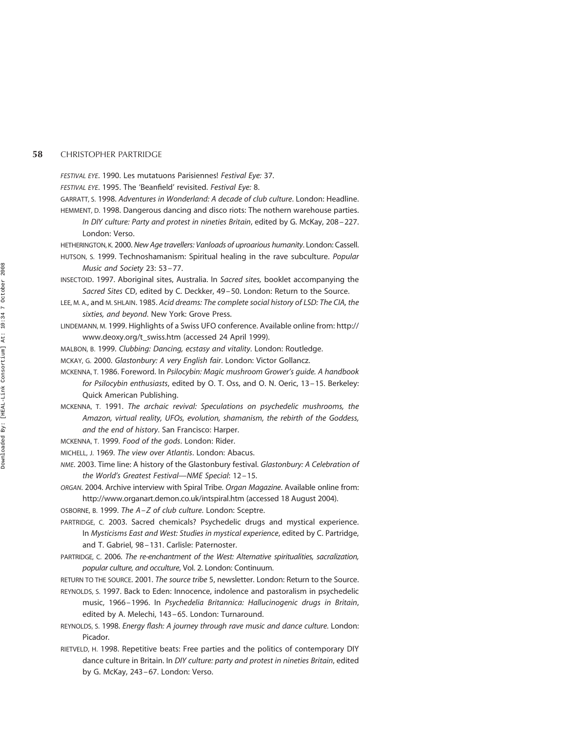FESTIVAL EYE. 1990. Les mutatuons Parisiennes! Festival Eye: 37.

FESTIVAL EYE. 1995. The 'Beanfield' revisited. Festival Eye: 8.

GARRATT, S. 1998. Adventures in Wonderland: A decade of club culture. London: Headline.

- HEMMENT, D. 1998. Dangerous dancing and disco riots: The nothern warehouse parties. In DIY culture: Party and protest in nineties Britain, edited by G. McKay, 208–227. London: Verso.
- HETHERINGTON, K. 2000. New Age travellers: Vanloads of uproarious humanity. London: Cassell. HUTSON, S. 1999. Technoshamanism: Spiritual healing in the rave subculture. Popular Music and Society 23: 53–77.
- INSECTOID. 1997. Aboriginal sites, Australia. In Sacred sites, booklet accompanying the Sacred Sites CD, edited by C. Deckker, 49 –50. London: Return to the Source.
- LEE, M. A., and M. SHLAIN. 1985. Acid dreams: The complete social history of LSD: The CIA, the sixties, and beyond. New York: Grove Press.
- LINDEMANN, M. 1999. Highlights of a Swiss UFO conference. Available online from: http:// www.deoxy.org/t\_swiss.htm (accessed 24 April 1999).
- MALBON, B. 1999. Clubbing: Dancing, ecstasy and vitality. London: Routledge.
- MCKAY, G. 2000. Glastonbury: A very English fair. London: Victor Gollancz.
- MCKENNA, T. 1986. Foreword. In Psilocybin: Magic mushroom Grower's guide. A handbook for Psilocybin enthusiasts, edited by O. T. Oss, and O. N. Oeric, 13–15. Berkeley: Quick American Publishing.
- MCKENNA, T. 1991. The archaic revival: Speculations on psychedelic mushrooms, the Amazon, virtual reality, UFOs, evolution, shamanism, the rebirth of the Goddess, and the end of history. San Francisco: Harper.
- MCKENNA, T. 1999. Food of the gods. London: Rider.
- MICHELL, J. 1969. The view over Atlantis. London: Abacus.
- NME. 2003. Time line: A history of the Glastonbury festival. Glastonbury: A Celebration of the World's Greatest Festival—NME Special: 12 –15.
- ORGAN. 2004. Archive interview with Spiral Tribe. Organ Magazine. Available online from: http://www.organart.demon.co.uk/intspiral.htm (accessed 18 August 2004).
- OSBORNE, B. 1999. The A Z of club culture. London: Sceptre.
- PARTRIDGE, C. 2003. Sacred chemicals? Psychedelic drugs and mystical experience. In Mysticisms East and West: Studies in mystical experience, edited by C. Partridge, and T. Gabriel, 98 –131. Carlisle: Paternoster.
- PARTRIDGE, C. 2006. The re-enchantment of the West: Alternative spiritualities, sacralization, popular culture, and occulture, Vol. 2. London: Continuum.
- RETURN TO THE SOURCE. 2001. The source tribe 5, newsletter. London: Return to the Source.
- REYNOLDS, S. 1997. Back to Eden: Innocence, indolence and pastoralism in psychedelic music, 1966–1996. In Psychedelia Britannica: Hallucinogenic drugs in Britain,
	- edited by A. Melechi, 143–65. London: Turnaround.
- REYNOLDS, S. 1998. Energy flash: A journey through rave music and dance culture. London: Picador.
- RIETVELD, H. 1998. Repetitive beats: Free parties and the politics of contemporary DIY dance culture in Britain. In DIY culture: party and protest in nineties Britain, edited by G. McKay, 243–67. London: Verso.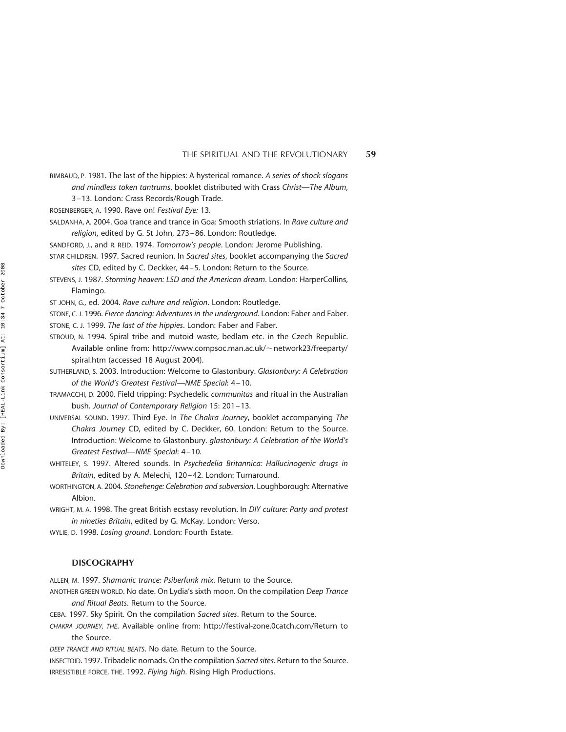- RIMBAUD, P. 1981. The last of the hippies: A hysterical romance. A series of shock slogans and mindless token tantrums, booklet distributed with Crass Christ—The Album, 3–13. London: Crass Records/Rough Trade.
- ROSENBERGER, A. 1990. Rave on! Festival Eye: 13.
- SALDANHA, A. 2004. Goa trance and trance in Goa: Smooth striations. In Rave culture and religion, edited by G. St John, 273–86. London: Routledge.
- SANDFORD, J., and R. REID. 1974. Tomorrow's people. London: Jerome Publishing.
- STAR CHILDREN. 1997. Sacred reunion. In Sacred sites, booklet accompanying the Sacred sites CD, edited by C. Deckker, 44 –5. London: Return to the Source.
- STEVENS, J. 1987. Storming heaven: LSD and the American dream. London: HarperCollins, Flamingo.
- ST JOHN, G., ed. 2004. Rave culture and religion. London: Routledge.
- STONE, C. J. 1996. Fierce dancing: Adventures in the underground. London: Faber and Faber.
- STONE, C. J. 1999. The last of the hippies. London: Faber and Faber.
- STROUD, N. 1994. Spiral tribe and mutoid waste, bedlam etc. in the Czech Republic. Available online from: http://www.compsoc.man.ac.uk/ $\sim$ network23/freeparty/ spiral.htm (accessed 18 August 2004).
- SUTHERLAND, S. 2003. Introduction: Welcome to Glastonbury. Glastonbury: A Celebration of the World's Greatest Festival—NME Special: 4–10.
- TRAMACCHI, D. 2000. Field tripping: Psychedelic communitas and ritual in the Australian bush. Journal of Contemporary Religion 15: 201–13.
- UNIVERSAL SOUND. 1997. Third Eye. In The Chakra Journey, booklet accompanying The Chakra Journey CD, edited by C. Deckker, 60. London: Return to the Source. Introduction: Welcome to Glastonbury. glastonbury: A Celebration of the World's Greatest Festival—NME Special: 4–10.
- WHITELEY, S. 1997. Altered sounds. In Psychedelia Britannica: Hallucinogenic drugs in Britain, edited by A. Melechi, 120–42. London: Turnaround.
- WORTHINGTON, A. 2004. Stonehenge: Celebration and subversion. Loughborough: Alternative Albion.
- WRIGHT, M. A. 1998. The great British ecstasy revolution. In DIY culture: Party and protest in nineties Britain, edited by G. McKay. London: Verso.
- WYLIE, D. 1998. Losing ground. London: Fourth Estate.

## **DISCOGRAPHY**

ALLEN, M. 1997. Shamanic trance: Psiberfunk mix. Return to the Source.

ANOTHER GREEN WORLD. No date. On Lydia's sixth moon. On the compilation Deep Trance and Ritual Beats. Return to the Source.

CEBA. 1997. Sky Spirit. On the compilation Sacred sites. Return to the Source.

- CHAKRA JOURNEY, THE. Available online from: http://festival-zone.0catch.com/Return to the Source.
- DEEP TRANCE AND RITUAL BEATS. No date. Return to the Source.

INSECTOID. 1997. Tribadelic nomads. On the compilation Sacred sites. Return to the Source. IRRESISTIBLE FORCE, THE. 1992. Flying high. Rising High Productions.